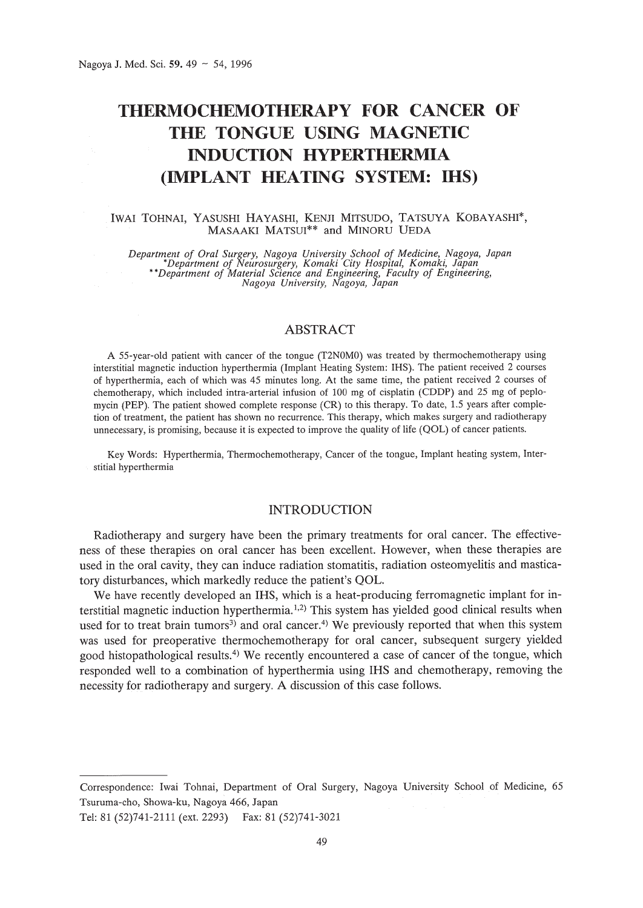# THERMOCHEMOTHERAPY **FOR CANCER OF THE TONGUE USING MAGNETIC INDUCTION HYPERTHERMIA (IMPLANT HEATING SYSTEM: IHS)**

#### IWAI TOHNAI, YASUSHI HAYASHI, KENJI MITSUDO, TATSUYA KOBAYASHI\*, MASAAKI MATSUI\*\* and MINORU UEDA

Department of Oral Surgery, Nagoya University School of Medicine, Nagoya, Japan<br>\*Department of Neurosurgery, Komaki City Hospital, Komaki, Japan<br>\*\*Department of Material Science and Engineering, Faculty of Engineering,<br>Nag

## ABSTRACT

A 55-year-old patient with cancer of the tongue (T2NOMO) was treated by thermochemotherapy using interstitial magnetic induction hyperthermia (Implant Heating System: IHS). The patient received 2 courses of hyperthermia, each of which was 45 minutes long. At the same time, the patient received 2 courses of chemotherapy, which included intra-arterial infusion of 100 mg of cisplatin (COOP) and 25 mg of peplomycin (PEP). The patient showed complete response (CR) to this therapy. To date, 1.5 years after completion of treatment, the patient has shown no recurrence. This therapy, which makes surgery and radiotherapy unnecessary, is promising, because it is expected to improve the quality of life (QOL) of cancer patients.

Key Words: Hyperthermia, Thermochemotherapy, Cancer of the tongue, Implant heating system, Interstitial hyperthermia

# INTRODUCTION

Radiotherapy and surgery have been the primary treatments for oral cancer. The effectiveness of these therapies on oral cancer has been excellent. However, when these therapies are used in the oral cavity, they can induce radiation stomatitis, radiation osteomyelitis and masticatory disturbances, which markedly reduce the patient's QOL.

We have recently developed an IHS, which is a heat-producing ferromagnetic implant for interstitial magnetic induction hyperthermia.<sup>1,2)</sup> This system has yielded good clinical results when used for to treat brain tumors<sup>3)</sup> and oral cancer.<sup>4)</sup> We previously reported that when this system was used for preoperative thermochemotherapy for oral cancer, subsequent surgery yielded good histopathological results. 4) We recently encountered a case of cancer of the tongue, which responded well to a combination of hyperthermia using IHS and chemotherapy, removing the necessity for radiotherapy and surgery. A discussion of this case follows.

Tel: 81 (52)741-2111 (ext. 2293) Fax: 81 (52)741-3021

Correspondence: Iwai Tohnai, Department of Oral Surgery, Nagoya University School of Medicine, 65 Tsuruma-cho, Showa-ku, Nagoya 466, Japan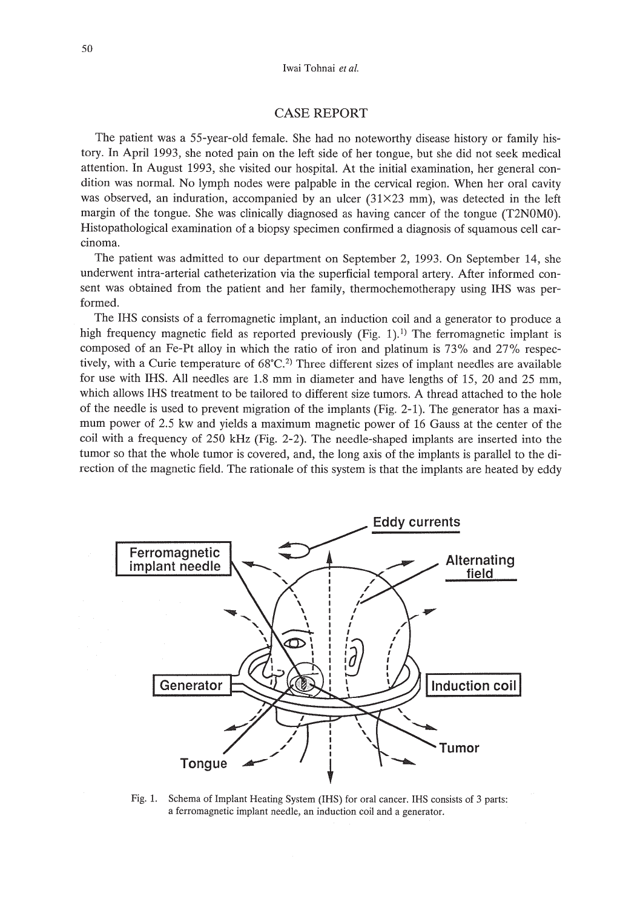# CASE REPORT

The patient was a 55-year-old female. She had no noteworthy disease history or family history. In April 1993, she noted pain on the left side of her tongue, but she did not seek medical attention. In August 1993, she visited our hospital. At the initial examination, her general condition was normal. No lymph nodes were palpable in the cervical region. When her oral cavity was observed, an induration, accompanied by an ulcer (31X23 mm), was detected in the left margin of the tongue. She was clinically diagnosed as having cancer of the tongue (T2NOMO). Histopathological examination of a biopsy specimen confirmed a diagnosis of squamous cell carcinoma.

The patient was admitted to our department on September 2, 1993. On September 14, she underwent intra-arterial catheterization via the superficial temporal artery. After informed consent was obtained from the patient and her family, thermochemotherapy using IHS was performed.

The IHS consists of a ferromagnetic implant, an induction coil and a generator to produce a high frequency magnetic field as reported previously (Fig. 1).<sup>1)</sup> The ferromagnetic implant is composed of an Fe-Pt alloy in which the ratio of iron and platinum is 73% and 27% respectively, with a Curie temperature of  $68^{\circ}$ C.<sup>2)</sup> Three different sizes of implant needles are available for use with IHS. All needles are 1.8 mm in diameter and have lengths of 15, 20 and 25 mm, which allows IHS treatment to be tailored to different size tumors. A thread attached to the hole of the needle is used to prevent migration of the implants (Fig. 2-1). The generator has a maximum power of 2.5 kw and yields a maximum magnetic power of 16 Gauss at the center of the coil with a frequency of 250 kHz (Fig. 2-2). The needle-shaped implants are inserted into the tumor so that the whole tumor is covered, and, the long axis of the implants is parallel to the direction of the magnetic field. The rationale of this system is that the implants are heated by eddy



Fig. 1. Schema of Implant Heating System (IHS) for oral cancer. IRS consists of 3 parts: a ferromagnetic implant needle, an induction coil and a generator.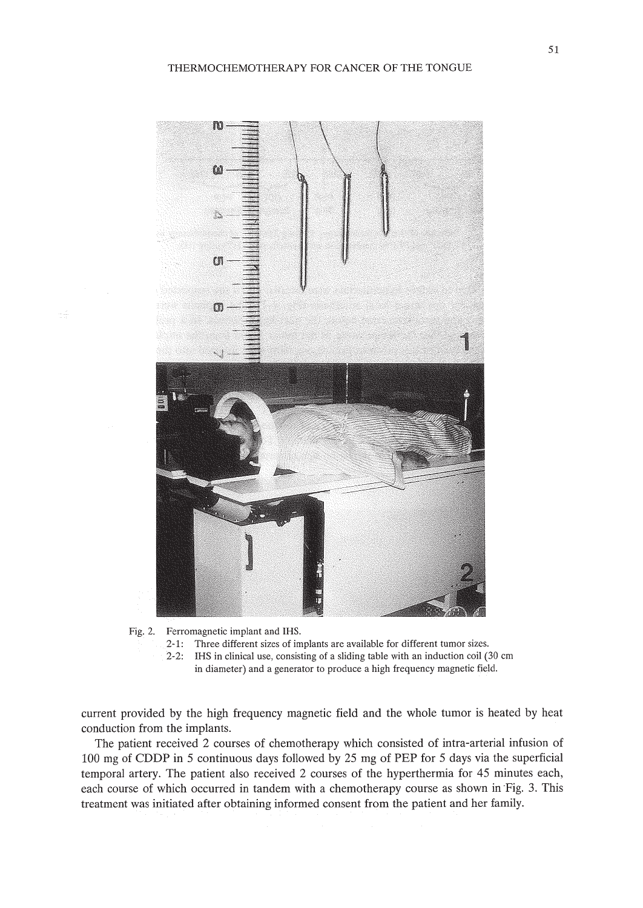



- 2-1: Three different sizes of implants are available for different tumor sizes.
- 2-2: IHS in clinical use, consisting of a sliding table with an induction coil (30 cm in diameter) and a generator to produce a high frequency magnetic field.
- 

current provided by the high frequency magnetic field and the whole tumor is heated by heat conduction from the implants.

The patient received 2 courses of chemotherapy which consisted of intra-arterial infusion of 100 mg of CDDP in 5 continuous days followed by 25 mg of PEP for 5 days via the superficial temporal artery. The patient also received 2 courses of the hyperthermia for 45 minutes each, each course of which occurred in tandem with a chemotherapy course as shown in Fig. 3. This treatment was initiated after obtaining informed consent from the patient and her family.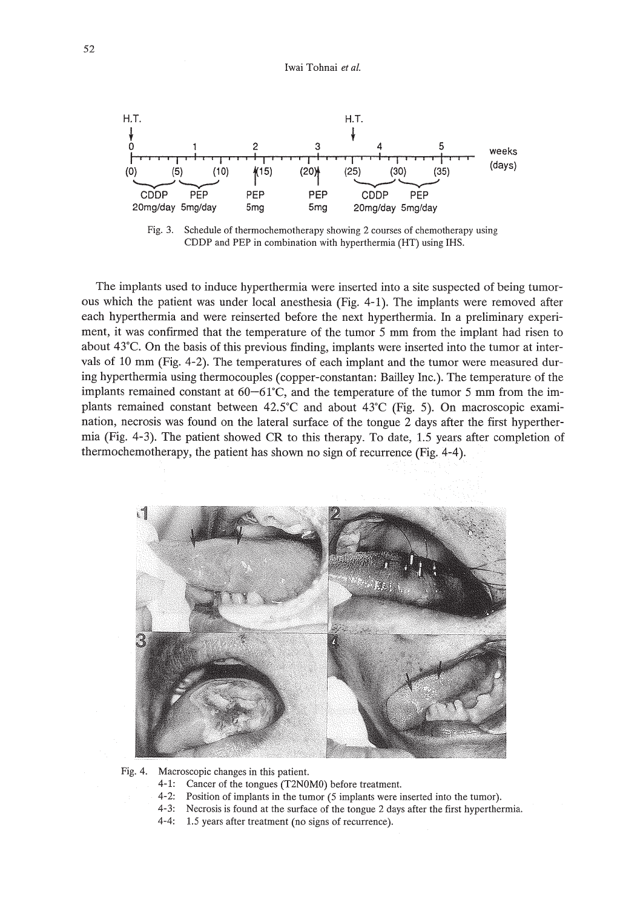Iwai Tohnai *et at.*



Fig. 3. Schedule of thermochemotherapy showing 2 courses of chemotherapy using CDDP and PEP in combination with hyperthermia (HT) using IHS.

The implants used to induce hyperthermia were inserted into a site suspected of being tumorous which the patient was under local anesthesia (Fig. 4-1). The implants were removed after each hyperthermia and were reinserted before the next hyperthermia. In a preliminary experiment, it was confirmed that the temperature of the tumor 5 mm from the implant had risen to about  $43^{\circ}$ C. On the basis of this previous finding, implants were inserted into the tumor at intervals of 10 mm (Fig. 4-2). The temperatures of each implant and the tumor were measured during hyperthermia using thermocouples (copper-constantan: Bailley Inc.). The temperature of the implants remained constant at  $60-61^{\circ}$ C, and the temperature of the tumor 5 mm from the implants remained constant between  $42.5^{\circ}$ C and about  $43^{\circ}$ C (Fig. 5). On macroscopic examination, necrosis was found on the lateral surface of the tongue 2 days after the first hyperthermia (Fig. 4-3). The patient showed CR to this therapy. To date, 1.5 years after completion of thermochemotherapy, the patient has shown no sign of recurrence (Fig. 4-4).



Fig. 4. Macroscopic changes in this patient.

- 4-1: Cancer of the tongues (T2NOMO) before treatment.
- 4-2: Position of implants in the tumor (5 implants were inserted into the tumor).
- 4-3: Necrosis is found at the surface of the tongue 2 days after the first hyperthermia.
- 4-4: 1.5 years after treatment (no signs of recurrence).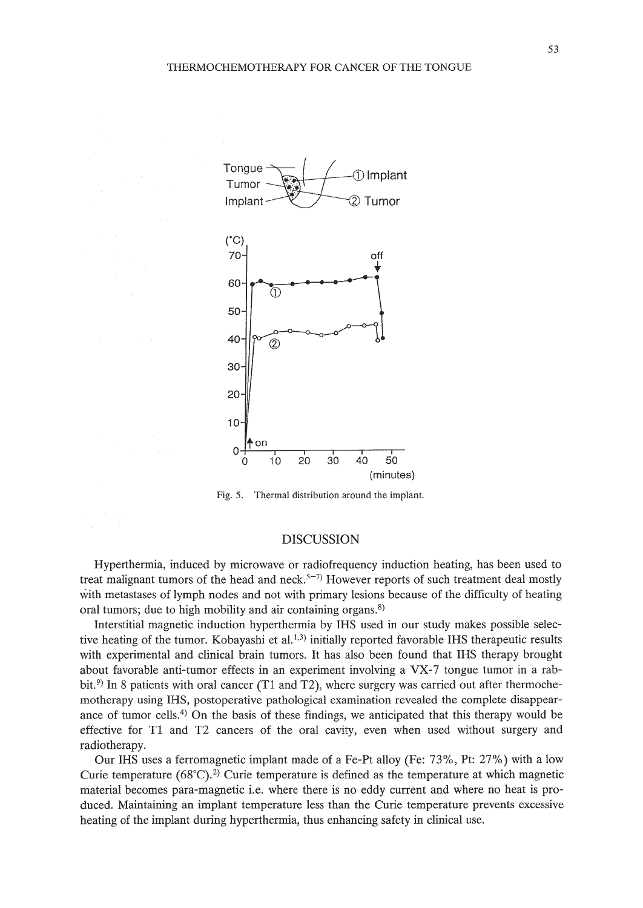

Fig. 5. Thermal distribution around the implant.

### DISCUSSION

Hyperthermia, induced by microwave or radiofrequency induction heating, has been used to treat malignant tumors of the head and neck.<sup>5-7)</sup> However reports of such treatment deal mostly with metastases of lymph nodes and not with primary lesions because of the difficulty of heating oral tumors; due to high mobility and air containing organs.<sup>8)</sup>

Interstitial magnetic induction hyperthermia by IHS used in our study makes possible selective heating of the tumor. Kobayashi et al.<sup>1,3)</sup> initially reported favorable IHS therapeutic results with experimental and clinical brain tumors. It has also been found that IHS therapy brought about favorable anti-tumor effects in an experiment involving a VX-7 tongue tumor in a rabbit.<sup>9)</sup> In 8 patients with oral cancer (T1 and T2), where surgery was carried out after thermochemotherapy using IHS, postoperative pathological examination revealed the complete disappearance of tumor cells.4) On the basis of these findings, we anticipated that this therapy would be effective for Tl and T2 cancers of the oral cavity, even when used without surgery and radiotherapy.

Our IHS uses a ferromagnetic implant made of a Fe-Pt alloy (Fe: 73%, Pt: 27%) with a low Curie temperature  $(68^{\circ}C)^{2}$  Curie temperature is defined as the temperature at which magnetic material becomes para-magnetic i.e. where there is no eddy current and where no heat is produced. Maintaining an implant temperature less than the Curie temperature prevents excessive heating of the implant during hyperthermia, thus enhancing safety in clinical use.